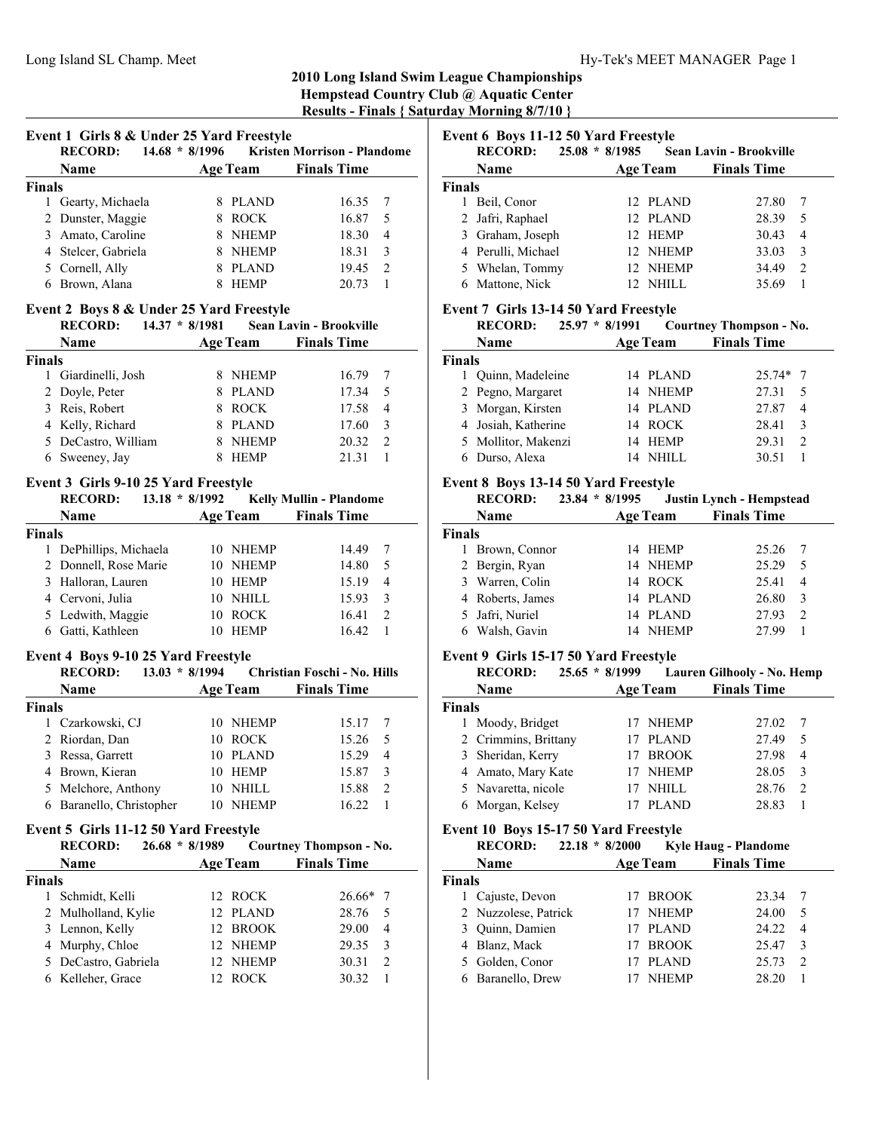## **2010 Long Island Swim League Championships Hempstead Country Club @ Aquatic Center**

**Results - Finals { Saturday Morning 8/7/10 }**

|               | Event 1 Girls 8 & Under 25 Yard Freestyle      |                    |                                             |
|---------------|------------------------------------------------|--------------------|---------------------------------------------|
|               | <b>RECORD:</b>                                 |                    | 14.68 * 8/1996 Kristen Morrison - Plandome  |
|               | Name $\qquad \qquad \qquad$                    |                    | Age Team Finals Time                        |
| Finals        |                                                |                    |                                             |
|               | 1 Gearty, Michaela                             | 8 PLAND            | 16.35<br>7                                  |
|               | 2 Dunster, Maggie                              | 8 ROCK             | 5<br>16.87                                  |
|               | 3 Amato, Caroline                              | 8 NHEMP            | $\overline{4}$<br>18.30                     |
|               | 4 Stelcer, Gabriela                            | 8 NHEMP            | 3<br>18.31                                  |
|               | 5 Cornell, Ally                                | 8 PLAND            | $\overline{2}$<br>19.45                     |
|               | 6 Brown, Alana                                 | 8 HEMP             | 1<br>20.73                                  |
|               | Event 2 Boys 8 & Under 25 Yard Freestyle       |                    |                                             |
|               | RECORD: 14.37 * 8/1981 Sean Lavin - Brookville |                    |                                             |
|               | <b>Name</b>                                    |                    | <b>Age Team</b> Finals Time                 |
| <b>Finals</b> |                                                |                    |                                             |
|               | 1 Giardinelli, Josh                            | 8 NHEMP            | 16.79<br>7                                  |
|               | 2 Doyle, Peter                                 | 8 PLAND            | 17.34<br>5                                  |
|               | 3 Reis, Robert                                 | 8 ROCK             | 4                                           |
|               |                                                |                    | 17.58                                       |
|               | 4 Kelly, Richard                               | 8 PLAND            | 3<br>17.60                                  |
|               | 5 DeCastro, William                            | 8 NHEMP            | $\overline{2}$<br>20.32                     |
|               | 6 Sweeney, Jay                                 | 8 HEMP             | 1<br>21.31                                  |
|               | Event 3 Girls 9-10 25 Yard Freestyle           |                    |                                             |
|               | RECORD: 13.18 * 8/1992 Kelly Mullin - Plandome |                    |                                             |
|               | <b>Name</b>                                    |                    | <b>Age Team</b> Finals Time                 |
| <b>Finals</b> |                                                |                    |                                             |
|               | 1 DePhillips, Michaela                         | 10 NHEMP           | 14.49<br>7                                  |
|               | 2 Donnell, Rose Marie                          | 10 NHEMP           | 5<br>14.80                                  |
|               | 3 Halloran, Lauren                             | 10 HEMP            | 4<br>15.19                                  |
|               | 4 Cervoni, Julia                               | 10 NHILL           | 3<br>15.93                                  |
|               | 5 Ledwith, Maggie                              | 10 ROCK            | 2<br>16.41                                  |
|               | 6 Gatti, Kathleen                              | 10 HEMP            | 1<br>16.42                                  |
|               | Event 4 Boys 9-10 25 Yard Freestyle            |                    |                                             |
|               | <b>RECORD:</b>                                 |                    | 13.03 * 8/1994 Christian Foschi - No. Hills |
|               | <b>Name</b>                                    | <b>Age Team</b>    | <b>Finals Time</b>                          |
| <b>Finals</b> |                                                |                    |                                             |
| 1             | Czarkowski, CJ                                 | 10 NHEMP           | 15.17<br>7                                  |
|               | 2 Riordan, Dan                                 | 10 ROCK            | 15.26<br>5                                  |
|               | 3 Ressa, Garrett                               | 10 PLAND           | 15.29<br>4                                  |
|               |                                                |                    |                                             |
|               | 4 Brown, Kieran                                | 10 HEMP            | 3<br>15.87                                  |
| 5             | Melchore, Anthony                              | 10<br>NHILL        | $\overline{c}$<br>15.88                     |
|               | 6 Baranello, Christopher                       | 10<br><b>NHEMP</b> | 1<br>16.22                                  |
|               | Event 5 Girls 11-12 50 Yard Freestyle          |                    |                                             |
|               | <b>RECORD:</b><br>$26.68 * 8/1989$             |                    | <b>Courtney Thompson - No.</b>              |
|               | Name                                           | <b>Age Team</b>    | <b>Finals Time</b>                          |
| <b>Finals</b> |                                                |                    |                                             |
| 1             | Schmidt, Kelli                                 | <b>ROCK</b><br>12  | 26.66*<br>7                                 |
| 2             | Mulholland, Kylie                              | 12<br><b>PLAND</b> | 5<br>28.76                                  |
|               | 3 Lennon, Kelly                                | 12<br><b>BROOK</b> | $\overline{4}$<br>29.00                     |
|               | 4 Murphy, Chloe                                | 12<br>NHEMP        | 3<br>29.35                                  |
|               | 5 DeCastro, Gabriela                           | 12<br>NHEMP        | $\overline{c}$<br>30.31                     |
|               | 6 Kelleher, Grace                              | 12<br><b>ROCK</b>  | $\mathbf{1}$<br>30.32                       |

**Event 6 Boys 11-12 50 Yard Freestyle**

|               | <b>RECORD:</b>     | $25.08 * 8/1985$ |                 | <b>Sean Lavin - Brookville</b> |                             |
|---------------|--------------------|------------------|-----------------|--------------------------------|-----------------------------|
|               | <b>Name</b>        |                  | <b>Age Team</b> | <b>Finals Time</b>             |                             |
| <b>Finals</b> |                    |                  |                 |                                |                             |
|               | Beil, Conor        |                  | 12 PLAND        | 27.80                          |                             |
|               | 2 Jafri, Raphael   |                  | 12 PLAND        | 28.39                          | 5                           |
|               | 3 Graham, Joseph   |                  | 12 HEMP         | 30.43                          | $\overline{4}$              |
|               | 4 Perulli, Michael |                  | 12 NHEMP        | 33.03                          | 3                           |
|               | 5 Whelan, Tommy    |                  | 12 NHEMP        | 34.49                          | $\mathcal{D}_{\mathcal{L}}$ |
| 6             | Mattone, Nick      |                  | NHILL           | 35.69                          |                             |

## **Event 7 Girls 13-14 50 Yard Freestyle**

|               | <b>RECORD:</b><br>$25.97 * 8/1991$ |    |                 | <b>Courtney Thompson - No.</b>       |  |
|---------------|------------------------------------|----|-----------------|--------------------------------------|--|
|               | Name                               |    | <b>Age Team</b> | <b>Finals Time</b>                   |  |
| <b>Finals</b> |                                    |    |                 |                                      |  |
|               | Quinn, Madeleine                   |    | 14 PLAND        | $25.74*$ 7                           |  |
|               | 2 Pegno, Margaret                  |    | 14 NHEMP        | 27.31<br>.5                          |  |
|               | 3 Morgan, Kirsten                  |    | 14 PLAND        | 27.87<br>4                           |  |
|               | 4 Josiah, Katherine                |    | 14 ROCK         | 28.41<br>3                           |  |
|               | 5 Mollitor, Makenzi                | 14 | HEMP            | 29.31<br>$\mathcal{D}_{\mathcal{L}}$ |  |
|               | Durso, Alexa                       |    | NHILL.          | 30.51                                |  |

## **Event 8 Boys 13-14 50 Yard Freestyle**

| <b>RECORD:</b>   |               |                  |                                                                           |                                 |
|------------------|---------------|------------------|---------------------------------------------------------------------------|---------------------------------|
| Name             |               |                  | <b>Finals Time</b>                                                        |                                 |
| <b>Finals</b>    |               |                  |                                                                           |                                 |
|                  |               |                  | 25.26                                                                     |                                 |
| 2 Bergin, Ryan   |               |                  | 25.29                                                                     | .5                              |
| 3 Warren, Colin  |               |                  | 25.41                                                                     | $\overline{4}$                  |
| 4 Roberts, James |               |                  | 26.80                                                                     | 3                               |
| 5 Jafri, Nuriel  |               |                  | 27.93                                                                     | $\mathcal{D}$                   |
| Walsh, Gavin     | 14            | <b>NHEMP</b>     | 27.99                                                                     |                                 |
|                  | Brown, Connor | $23.84 * 8/1995$ | <b>Age Team</b><br>14 HEMP<br>14 NHEMP<br>14 ROCK<br>14 PLAND<br>14 PLAND | <b>Justin Lynch - Hempstead</b> |

## **Event 9 Girls 15-17 50 Yard Freestyle**

|               | <b>RECORD:</b>       | $25.65 * 8/1999$ |              | Lauren Gilhooly - No. Hemp |                |
|---------------|----------------------|------------------|--------------|----------------------------|----------------|
|               | Name                 | <b>Age Team</b>  |              | <b>Finals Time</b>         |                |
| <b>Finals</b> |                      |                  |              |                            |                |
|               | Moody, Bridget       |                  | <b>NHEMP</b> | 27.02                      |                |
|               | 2 Crimmins, Brittany |                  | <b>PLAND</b> | 27.49                      | 5              |
|               | 3 Sheridan, Kerry    | 17 BROOK         |              | 27.98                      | $\overline{4}$ |
|               | 4 Amato, Mary Kate   |                  | <b>NHEMP</b> | 28.05                      | 3              |
|               | 5 Navaretta, nicole  |                  | NHILL        | 28.76                      | 2              |
|               | 6 Morgan, Kelsey     |                  | PLAND        | 28.83                      |                |

## **Event 10 Boys 15-17 50 Yard Freestyle**

|               | <b>RECORD:</b>       | $22.18 * 8/2000$ | <b>Kyle Haug - Plandome</b> |
|---------------|----------------------|------------------|-----------------------------|
|               | Name                 | <b>Age Team</b>  | <b>Finals Time</b>          |
| <b>Finals</b> |                      |                  |                             |
|               | 1 Cajuste, Devon     | 17 BROOK         | 23.34                       |
|               | 2 Nuzzolese, Patrick | NHEMP            | 24.00<br>5                  |
|               | 3 Quinn, Damien      | PLAND            | 24.22<br>4                  |
|               | 4 Blanz, Mack        | <b>BROOK</b>     | 25.47<br>3                  |
|               | 5 Golden, Conor      | <b>PLAND</b>     | 25.73<br>$\mathfrak{D}$     |
|               | Baranello, Drew      | <b>NHEMP</b>     | 28.20                       |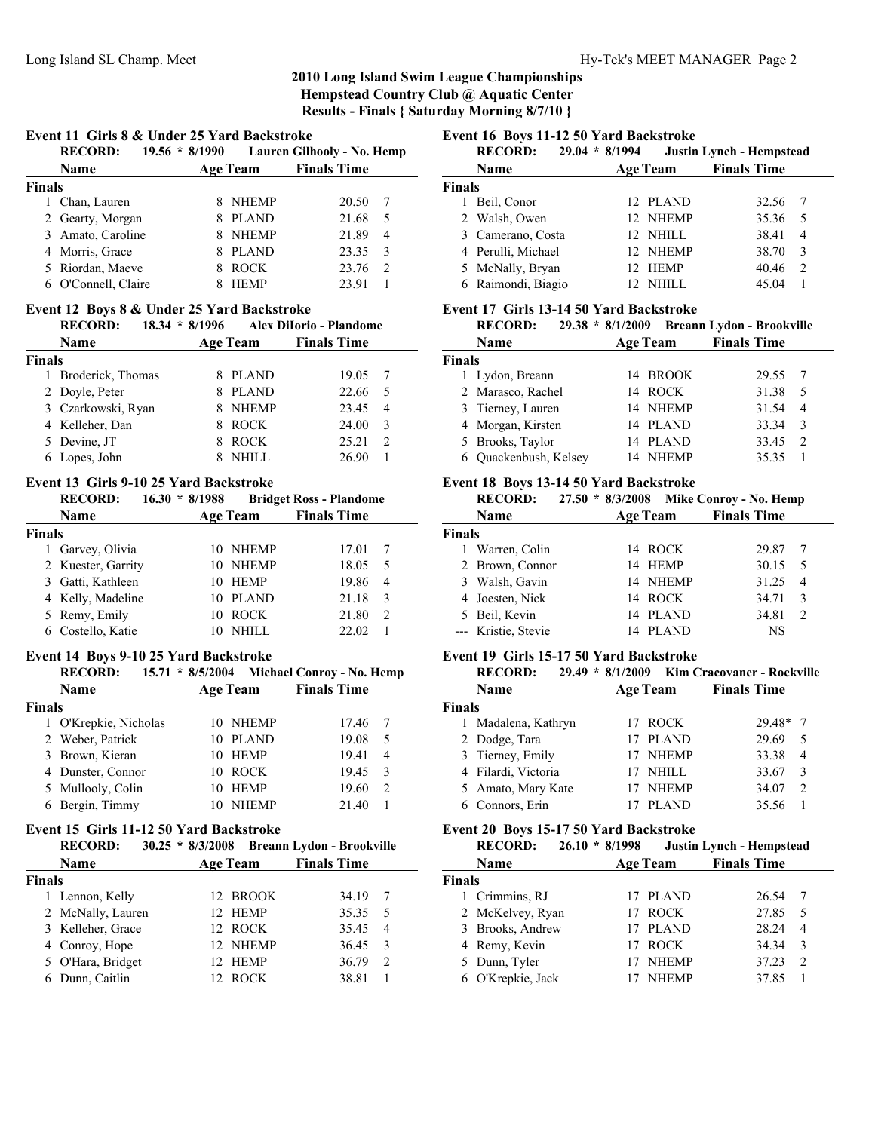# **2010 Long Island Swim League Championships Hempstead Country Club @ Aquatic Center**

**Results - Finals { Saturday Morning 8/7/10 }**

| Event 11 Girls 8 & Under 25 Yard Backstroke |  |
|---------------------------------------------|--|
|---------------------------------------------|--|

|               | <b>RECORD:</b><br>$19.56 * 8/1990$ |                 | Lauren Gilhooly - No. Hemp |  |
|---------------|------------------------------------|-----------------|----------------------------|--|
|               | <b>Name</b>                        | <b>Age Team</b> | <b>Finals Time</b>         |  |
| <b>Finals</b> |                                    |                 |                            |  |
|               | Chan, Lauren                       | <b>NHEMP</b>    | 20.50                      |  |
|               | 2 Gearty, Morgan                   | <b>PLAND</b>    | 21.68<br>5                 |  |
|               | 3 Amato, Caroline                  | <b>NHEMP</b>    | 21.89<br>4                 |  |
|               | 4 Morris, Grace                    | <b>PLAND</b>    | 23.35<br>$\mathcal{F}$     |  |
|               | 5 Riordan, Maeve                   | <b>ROCK</b>     | 23.76<br>2                 |  |
|               | O'Connell, Claire                  | <b>HEMP</b>     | 23.91                      |  |

#### **Event 12 Boys 8 & Under 25 Yard Backstroke**

|               | <b>RECORD:</b><br>$18.34 * 8/1996$ |                 | Alex DiIorio - Plandome |                |
|---------------|------------------------------------|-----------------|-------------------------|----------------|
|               | Name                               | <b>Age Team</b> | <b>Finals Time</b>      |                |
| <b>Finals</b> |                                    |                 |                         |                |
|               | 1 Broderick, Thomas                | PLAND           | 19.05                   |                |
|               | 2 Doyle, Peter                     | <b>PLAND</b>    | 22.66                   | .5             |
|               | 3 Czarkowski, Ryan                 | <b>NHEMP</b>    | 23.45                   | $\overline{4}$ |
|               | 4 Kelleher, Dan                    | <b>ROCK</b>     | 24.00                   | 3              |
|               | 5 Devine, JT                       | <b>ROCK</b>     | 25.21                   | $\mathcal{D}$  |
|               | 6 Lopes, John                      |                 | 26.90                   |                |

#### **Event 13 Girls 9-10 25 Yard Backstroke**

|               | <b>RECORD:</b>     | $16.30 * 8/1988$ |                 | <b>Bridget Ross - Plandome</b> |               |
|---------------|--------------------|------------------|-----------------|--------------------------------|---------------|
|               | Name               |                  | <b>Age Team</b> | <b>Finals Time</b>             |               |
| <b>Finals</b> |                    |                  |                 |                                |               |
|               | Garvey, Olivia     |                  | 10 NHEMP        | 17.01                          |               |
|               | 2 Kuester, Garrity |                  | 10 NHEMP        | 18.05                          | -5            |
|               | 3 Gatti, Kathleen  |                  | 10 HEMP         | 19.86                          | 4             |
|               | 4 Kelly, Madeline  |                  | 10 PLAND        | 21.18                          | 3             |
|               | 5 Remy, Emily      |                  | 10 ROCK         | 21.80                          | $\mathcal{D}$ |
|               | 6 Costello, Katie  |                  | NHILL.          | 22.02                          |               |

#### **Event 14 Boys 9-10 25 Yard Backstroke**

| <b>RECORD:</b> |                                                                                                                                        |              |                                                                                                    |                           |
|----------------|----------------------------------------------------------------------------------------------------------------------------------------|--------------|----------------------------------------------------------------------------------------------------|---------------------------|
| Name           |                                                                                                                                        |              | <b>Finals Time</b>                                                                                 |                           |
|                |                                                                                                                                        |              |                                                                                                    |                           |
|                |                                                                                                                                        |              | 17.46                                                                                              |                           |
|                |                                                                                                                                        |              | 19.08                                                                                              | 5                         |
|                |                                                                                                                                        |              | 19.41                                                                                              | 4                         |
|                |                                                                                                                                        |              | 19.45                                                                                              | $\mathcal{F}$             |
|                | 10                                                                                                                                     |              | 19.60                                                                                              | 2                         |
|                | 10.                                                                                                                                    | <b>NHEMP</b> | 21.40                                                                                              |                           |
|                | <b>Finals</b><br>O'Krepkie, Nicholas<br>2 Weber, Patrick<br>3 Brown, Kieran<br>4 Dunster, Connor<br>5 Mullooly, Colin<br>Bergin, Timmy |              | $15.71 * 8/5/2004$<br><b>Age Team</b><br>10 NHEMP<br>10 PLAND<br>10 HEMP<br>10 ROCK<br><b>HEMP</b> | Michael Conroy - No. Hemp |

## **Event 15 Girls 11-12 50 Yard Backstroke**

|               | <b>RECORD:</b>    |                 | 30.25 * 8/3/2008 Breann Lydon - Brookville |                |
|---------------|-------------------|-----------------|--------------------------------------------|----------------|
|               | Name              | <b>Age Team</b> | <b>Finals Time</b>                         |                |
| <b>Finals</b> |                   |                 |                                            |                |
|               | 1 Lennon, Kelly   | 12 BROOK        | 34.19                                      | 7              |
|               | 2 McNally, Lauren | 12 HEMP         | 35.35                                      | - 5            |
|               | 3 Kelleher, Grace | 12 ROCK         | 35.45                                      | $\overline{4}$ |
|               | 4 Conroy, Hope    | 12 NHEMP        | 36.45                                      | -3             |
|               | 5 O'Hara, Bridget | 12 HEMP         | 36.79                                      | 2              |
| 6             | Dunn, Caitlin     | 12 ROCK         | 38.81                                      |                |

# **Event 16 Boys 11-12 50 Yard Backstroke**

|               | $2.7$ and $2.0$ $2.0$ $1.0$ $1.1$ $2.0$ $0.0$ $1.0$ $0.0$ $0.0$ $0.0$<br><b>RECORD:</b> | $29.04 * 8/1994$ | <b>Justin Lynch - Hempstead</b> |                    |                |
|---------------|-----------------------------------------------------------------------------------------|------------------|---------------------------------|--------------------|----------------|
|               | Name                                                                                    |                  | <b>Age Team</b>                 | <b>Finals Time</b> |                |
| <b>Finals</b> |                                                                                         |                  |                                 |                    |                |
|               | Beil, Conor                                                                             |                  | 12 PLAND                        | 32.56              |                |
|               | 2 Walsh, Owen                                                                           |                  | 12 NHEMP                        | 35.36              | 5 <sup>5</sup> |
|               | 3 Camerano, Costa                                                                       |                  | 12 NHILL                        | 38.41              | $\overline{4}$ |
|               | 4 Perulli, Michael                                                                      |                  | 12 NHEMP                        | 38.70              | 3              |
|               | 5 McNally, Bryan                                                                        |                  | 12 HEMP                         | 40.46              | 2              |
|               | 6 Raimondi, Biagio                                                                      | 12 <sup>7</sup>  | - NHILL                         | 45.04              |                |

#### **Event 17 Girls 13-14 50 Yard Backstroke**

|               | <b>RECORD:</b>        |                 | 29.38 * 8/1/2009 Breann Lydon - Brookville |
|---------------|-----------------------|-----------------|--------------------------------------------|
|               | <b>Name</b>           | <b>Age Team</b> | <b>Finals Time</b>                         |
| <b>Finals</b> |                       |                 |                                            |
|               | 1 Lydon, Breann       | 14 BROOK        | 29.55                                      |
|               | 2 Marasco, Rachel     | 14 ROCK         | 31.38<br>5                                 |
|               | 3 Tierney, Lauren     | 14 NHEMP        | 31.54<br>$\overline{4}$                    |
|               | 4 Morgan, Kirsten     | 14 PLAND        | 33.34<br>$\mathcal{E}$                     |
|               | 5 Brooks, Taylor      | 14 PLAND        | 33.45<br>2                                 |
|               | 6 Ouackenbush, Kelsey | 14 NHEMP        | 35.35                                      |

#### **Event 18 Boys 13-14 50 Yard Backstroke**

|        | <b>RECORD:</b>      | $27.50 * 8/3/2008$ |                 | Mike Conroy - No. Hemp |    |
|--------|---------------------|--------------------|-----------------|------------------------|----|
|        | Name                |                    | <b>Age Team</b> | <b>Finals Time</b>     |    |
| Finals |                     |                    |                 |                        |    |
|        | Warren, Colin       |                    | 14 ROCK         | 29.87                  |    |
|        | 2 Brown, Connor     |                    | 14 HEMP         | 30.15                  | -5 |
|        | 3 Walsh, Gavin      |                    | 14 NHEMP        | 31.25                  | 4  |
|        | 4 Joesten, Nick     |                    | 14 ROCK         | 34.71                  | 3  |
|        | 5 Beil, Kevin       |                    | 14 PLAND        | 34.81                  | 2  |
|        | --- Kristie, Stevie | 14                 | <b>PLAND</b>    | <b>NS</b>              |    |

#### **Event 19 Girls 15-17 50 Yard Backstroke**

|               | <b>RECORD:</b>      |                 | 29.49 * 8/1/2009 Kim Cracovaner - Rockville |
|---------------|---------------------|-----------------|---------------------------------------------|
|               | Name                | <b>Age Team</b> | <b>Finals Time</b>                          |
| <b>Finals</b> |                     |                 |                                             |
| 1.            | Madalena, Kathryn   | 17 ROCK         | $29.48*$ 7                                  |
|               | 2 Dodge, Tara       | 17 PLAND        | 29.69<br>5                                  |
|               | 3 Tierney, Emily    | 17 NHEMP        | 33.38<br>4                                  |
|               | 4 Filardi, Victoria | <b>NHILL</b>    | 33.67                                       |
|               | 5 Amato, Mary Kate  | <b>NHEMP</b>    | 34.07<br>$\mathcal{D}$                      |
|               | Connors, Erin       | PLAND           | 35.56                                       |

#### **Event 20 Boys 15-17 50 Yard Backstroke**

|               | <b>RECORD:</b>    | $26.10 * 8/1998$ |                 | <b>Justin Lynch - Hempstead</b> |                |
|---------------|-------------------|------------------|-----------------|---------------------------------|----------------|
|               | Name              |                  | <b>Age Team</b> | <b>Finals Time</b>              |                |
| <b>Finals</b> |                   |                  |                 |                                 |                |
|               | 1 Crimmins, RJ    |                  | 17 PLAND        | 26.54                           |                |
|               | 2 McKelvey, Ryan  |                  | 17 ROCK         | 27.85                           | 5              |
|               | 3 Brooks, Andrew  |                  | 17 PLAND        | 28.24                           | $\overline{4}$ |
|               | 4 Remy, Kevin     |                  | 17 ROCK         | 34.34                           | $\mathcal{E}$  |
|               | 5 Dunn, Tyler     |                  | NHEMP           | 37.23                           | 2              |
|               | 6 O'Krepkie, Jack |                  | <b>NHEMP</b>    | 37.85                           |                |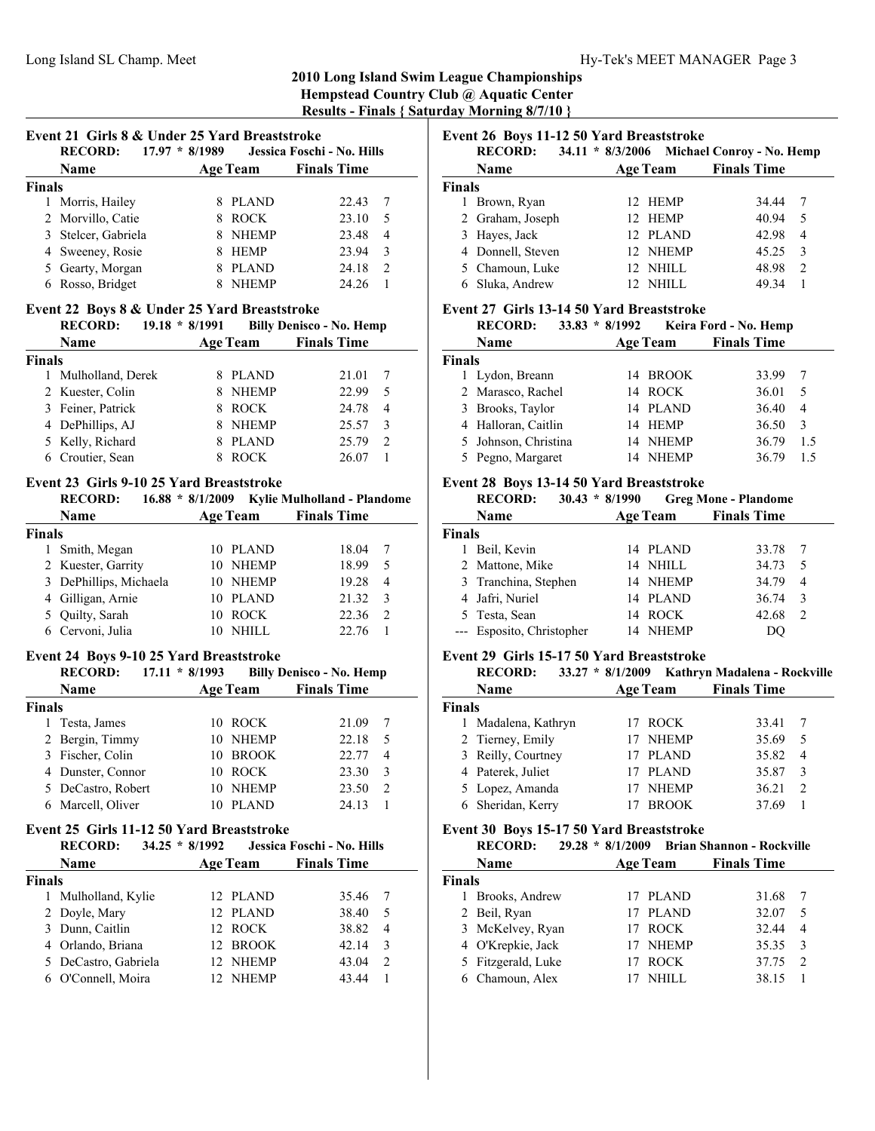|                                                                                                            | Event 21 Girls 8 & Under 25 Yard Breaststroke |                            |                 |                                 |                |
|------------------------------------------------------------------------------------------------------------|-----------------------------------------------|----------------------------|-----------------|---------------------------------|----------------|
|                                                                                                            | <b>RECORD:</b>                                | $17.97 * 8/1989$           |                 | Jessica Foschi - No. Hills      |                |
|                                                                                                            | Name                                          |                            | <b>Age Team</b> | <b>Finals Time</b>              |                |
| <b>Finals</b>                                                                                              |                                               |                            |                 |                                 |                |
| 1                                                                                                          | Morris, Hailey                                | 8                          | <b>PLAND</b>    | 22.43                           | 7              |
| $\mathfrak{D}$                                                                                             | Morvillo, Catie                               | 8                          | <b>ROCK</b>     | 23.10                           | 5              |
| 3                                                                                                          | Stelcer, Gabriela                             | 8                          | <b>NHEMP</b>    | 23.48                           | $\overline{4}$ |
| 4                                                                                                          | Sweeney, Rosie                                | 8                          | <b>HEMP</b>     | 23.94                           | 3              |
| 5                                                                                                          | Gearty, Morgan                                | 8                          | <b>PLAND</b>    | 24.18                           | $\overline{2}$ |
| 6                                                                                                          | Rosso, Bridget                                | 8                          | <b>NHEMP</b>    | 24.26                           | 1              |
|                                                                                                            | Event 22 Boys 8 & Under 25 Yard Breaststroke  |                            |                 |                                 |                |
|                                                                                                            | <b>RECORD:</b>                                | $19.18 * 8/1991$           |                 | <b>Billy Denisco - No. Hemp</b> |                |
|                                                                                                            | Name                                          |                            | <b>Age Team</b> | <b>Finals Time</b>              |                |
| <b>Finals</b>                                                                                              |                                               |                            |                 |                                 |                |
| 1                                                                                                          | Mulholland, Derek                             | 8                          | <b>PLAND</b>    | 21.01                           | 7              |
| 2                                                                                                          | Kuester, Colin                                | 8                          | <b>NHEMP</b>    | 22.99                           | 5              |
| 3                                                                                                          | Feiner, Patrick                               | 8                          | <b>ROCK</b>     | 24.78                           | 4              |
| 4                                                                                                          | DePhillips, AJ                                | 8                          | <b>NHEMP</b>    | 25.57                           | 3              |
| 5                                                                                                          | Kelly, Richard                                | 8                          | <b>PLAND</b>    | 25.79                           | 2              |
| 6                                                                                                          | Croutier, Sean                                | 8                          | <b>ROCK</b>     | 26.07                           | 1              |
| Event 23 Girls 9-10 25 Yard Breaststroke<br>16.88 * 8/1/2009 Kylie Mulholland - Plandome<br><b>RECORD:</b> |                                               |                            |                 |                                 |                |
|                                                                                                            | Name                                          |                            | <b>Age Team</b> | <b>Finals Time</b>              |                |
| <b>Finals</b>                                                                                              |                                               |                            |                 |                                 |                |
|                                                                                                            | $1 \quad \text{C}$ mith $M_{\text{200m}}$     | $10.51 \text{ A} \text{N}$ |                 | 100A                            | $\mathbf{r}$   |

| гшагу |                        |            |       |                |  |
|-------|------------------------|------------|-------|----------------|--|
|       | 1 Smith, Megan         | 10 PLAND   | 18.04 |                |  |
|       | 2 Kuester, Garrity     | 10 NHEMP   | 1899  | -5             |  |
|       | 3 DePhillips, Michaela | 10 NHEMP   | 19.28 | $\overline{4}$ |  |
|       | 4 Gilligan, Arnie      | 10 PLAND   | 21.32 | $\mathcal{R}$  |  |
|       | 5 Quilty, Sarah        | 10 ROCK    | 22.36 | $\mathcal{L}$  |  |
|       | 6 Cervoni, Julia       | $10$ NHILL | 22.76 |                |  |
|       |                        |            |       |                |  |

## **Event 24 Boys 9-10 25 Yard Breaststroke**

|               | <b>RECORD:</b>     | $17.11 * 8/1993$ |                 | <b>Billy Denisco - No. Hemp</b> |   |
|---------------|--------------------|------------------|-----------------|---------------------------------|---|
|               | <b>Name</b>        |                  | <b>Age Team</b> | <b>Finals Time</b>              |   |
| <b>Finals</b> |                    |                  |                 |                                 |   |
|               | Testa, James       |                  | 10 ROCK         | 21.09                           |   |
|               | 2 Bergin, Timmy    | 10               | <b>NHEMP</b>    | 22.18                           | 5 |
|               | 3 Fischer, Colin   |                  | 10 BROOK        | 22.77                           | 4 |
|               | 4 Dunster, Connor  | 10               | <b>ROCK</b>     | 23.30                           | 3 |
|               | 5 DeCastro, Robert | 10               | <b>NHEMP</b>    | 23.50                           | 2 |
|               | Marcell, Oliver    |                  | <b>PLAND</b>    | 24.13                           |   |

## **Event 25 Girls 11-12 50 Yard Breaststroke**

| <b>RECORD:</b><br>34.25 | * $8/1992$                                                                                                         |                                                                                        |                            |
|-------------------------|--------------------------------------------------------------------------------------------------------------------|----------------------------------------------------------------------------------------|----------------------------|
| <b>Name</b>             |                                                                                                                    | <b>Finals Time</b>                                                                     |                            |
|                         |                                                                                                                    |                                                                                        |                            |
| Mulholland, Kylie       |                                                                                                                    | 35.46                                                                                  |                            |
|                         |                                                                                                                    | 38.40                                                                                  | 5                          |
|                         |                                                                                                                    | 38.82                                                                                  | $\overline{4}$             |
|                         |                                                                                                                    | 42.14                                                                                  | 3                          |
|                         |                                                                                                                    | 43.04                                                                                  | $\mathcal{L}$              |
|                         |                                                                                                                    | 43.44                                                                                  |                            |
|                         | <b>Finals</b><br>2 Doyle, Mary<br>3 Dunn, Caitlin<br>4 Orlando, Briana<br>5 DeCastro, Gabriela<br>O'Connell, Moira | <b>Age Team</b><br>12 PLAND<br>12 PLAND<br>12 ROCK<br>12 BROOK<br>12 NHEMP<br>12 NHEMP | Jessica Foschi - No. Hills |

# **Event 26 Boys 11-12 50 Yard Breaststroke**

|        | <b>RECORD:</b>    | $34.11 * 8/3/2006$ |                 | <b>Michael Conroy - No. Hemp</b> |   |
|--------|-------------------|--------------------|-----------------|----------------------------------|---|
|        | Name              |                    | <b>Age Team</b> | <b>Finals Time</b>               |   |
| Finals |                   |                    |                 |                                  |   |
|        | Brown, Ryan       |                    | 12 HEMP         | 34.44                            |   |
|        | 2 Graham, Joseph  |                    | 12 HEMP         | 40.94                            | 5 |
| 3      | Hayes, Jack       |                    | 12 PLAND        | 42.98                            | 4 |
|        | 4 Donnell, Steven |                    | 12 NHEMP        | 45.25                            | 3 |
|        | 5 Chamoun, Luke   |                    | 12 NHILL        | 48.98                            | 2 |
|        | Sluka, Andrew     |                    | NHILL           | 49.34                            |   |

#### **Event 27 Girls 13-14 50 Yard Breaststroke**

|        | <b>RECORD:</b><br>33.83 | * $8/1992$ |                 | Keira Ford - No. Hemp |     |
|--------|-------------------------|------------|-----------------|-----------------------|-----|
|        | Name                    |            | <b>Age Team</b> | <b>Finals Time</b>    |     |
| Finals |                         |            |                 |                       |     |
|        | 1 Lydon, Breann         |            | 14 BROOK        | 33.99                 |     |
|        | 2 Marasco, Rachel       |            | 14 ROCK         | 36.01                 | 5   |
|        | 3 Brooks, Taylor        |            | 14 PLAND        | 36.40                 | 4   |
|        | 4 Halloran, Caitlin     |            | 14 HEMP         | 36.50                 | 3   |
|        | 5 Johnson, Christina    |            | 14 NHEMP        | 36.79                 | 1.5 |
|        | 5 Pegno, Margaret       |            | <b>NHEMP</b>    | 36.79                 | 15  |

## **Event 28 Boys 13-14 50 Yard Breaststroke**

|        | <b>RECORD:</b><br>$30.43 * 8/1990$ |                 | <b>Greg Mone - Plandome</b> |    |
|--------|------------------------------------|-----------------|-----------------------------|----|
|        | Name                               | <b>Age Team</b> | <b>Finals Time</b>          |    |
| Finals |                                    |                 |                             |    |
|        | Beil, Kevin                        | 14 PLAND        | 33.78                       | -7 |
|        | 2 Mattone, Mike                    | 14 NHILL        | 34.73                       | -5 |
|        | 3 Tranchina, Stephen               | 14 NHEMP        | 34.79                       | 4  |
|        | 4 Jafri, Nuriel                    | 14 PLAND        | 36.74                       | 3  |
|        | 5 Testa, Sean                      | 14 ROCK         | 42.68                       | 2  |
|        | --- Esposito, Christopher          | 14 NHEMP        | DO                          |    |

#### **Event 29 Girls 15-17 50 Yard Breaststroke**

|               | <b>RECORD:</b><br>$33.27 * 8/1/2009$ |    |                 | Kathryn Madalena - Rockville |                |
|---------------|--------------------------------------|----|-----------------|------------------------------|----------------|
|               | <b>Name</b>                          |    | <b>Age Team</b> | <b>Finals Time</b>           |                |
| <b>Finals</b> |                                      |    |                 |                              |                |
| 1.            | Madalena, Kathryn                    |    | 17 ROCK         | 33.41                        |                |
|               | 2 Tierney, Emily                     |    | 17 NHEMP        | 35.69                        | 5              |
|               | 3 Reilly, Courtney                   |    | 17 PLAND        | 35.82                        | $\overline{4}$ |
|               | 4 Paterek, Juliet                    | 17 | <b>PLAND</b>    | 35.87                        | 3              |
|               | 5 Lopez, Amanda                      |    | <b>NHEMP</b>    | 36.21                        | 2              |
|               | 6 Sheridan, Kerry                    |    | <b>BROOK</b>    | 37.69                        |                |

#### **Event 30 Boys 15-17 50 Yard Breaststroke**

|               | <b>RECORD:</b>     |                 | 29.28 * 8/1/2009 Brian Shannon - Rockville |
|---------------|--------------------|-----------------|--------------------------------------------|
|               | Name               | <b>Age Team</b> | <b>Finals Time</b>                         |
| <b>Finals</b> |                    |                 |                                            |
|               | Brooks, Andrew     | 17 PLAND        | 31.68                                      |
|               | 2 Beil, Ryan       | 17 PLAND        | 32.07<br>5                                 |
|               | 3 McKelvey, Ryan   | 17 ROCK         | 32.44<br>4                                 |
|               | 4 O'Krepkie, Jack  | 17 NHEMP        | 35.35<br>$\mathcal{E}$                     |
|               | 5 Fitzgerald, Luke | ROCK            | 37.75<br>$\mathcal{D}$                     |
|               | 6 Chamoun, Alex    | NHILL.          | 38.15                                      |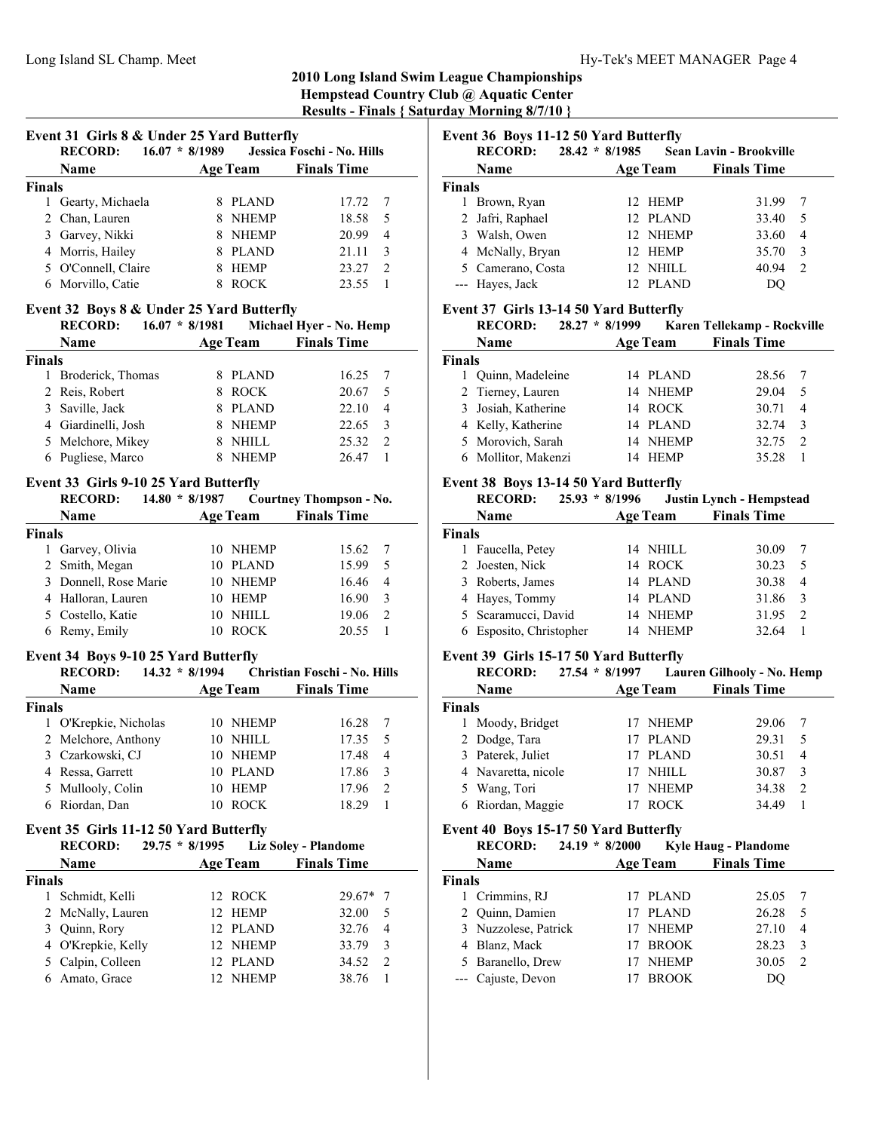## **2010 Long Island Swim League Championships Hempstead Country Club @ Aquatic Center**

**Results - Finals { Saturday Morning 8/7/10 }**

| Event 31 Girls 8 & Under 25 Yard Butterfly<br><b>RECORD:</b> | $16.07 * 8/1989$ |                 | Jessica Foschi - No. Hills |               |
|--------------------------------------------------------------|------------------|-----------------|----------------------------|---------------|
| <b>Name</b>                                                  |                  | <b>Age Team</b> | <b>Finals Time</b>         |               |
| <b>Finals</b>                                                |                  |                 |                            |               |
| 1 Gearty, Michaela                                           |                  | <b>PLAND</b>    | 17.72                      |               |
| 2 Chan, Lauren                                               |                  | <b>NHEMP</b>    | 18.58                      | 5             |
| 3 Garvey, Nikki                                              |                  | <b>NHEMP</b>    | 20.99                      | 4             |
| 4 Morris, Hailey                                             |                  | <b>PLAND</b>    | 21.11                      | $\mathcal{F}$ |
| 5 O'Connell, Claire                                          |                  | <b>HEMP</b>     | 23.27                      | $\mathcal{L}$ |
| 6 Morvillo, Catie                                            |                  | <b>ROCK</b>     | 23.55                      |               |

## **Event 32 Boys 8 & Under 25 Yard Butterfly**

|               | $16.07 * 8/1981$<br><b>RECORD:</b> |                 | Michael Hyer - No. Hemp |                |
|---------------|------------------------------------|-----------------|-------------------------|----------------|
|               | <b>Name</b>                        | <b>Age Team</b> | <b>Finals Time</b>      |                |
| <b>Finals</b> |                                    |                 |                         |                |
| 1.            | Broderick, Thomas                  | PLAND           | 16.25                   |                |
|               | 2 Reis, Robert                     | <b>ROCK</b>     | 20.67                   | 5              |
|               | 3 Saville, Jack                    | <b>PLAND</b>    | 22.10                   | $\overline{4}$ |
|               | 4 Giardinelli, Josh                | <b>NHEMP</b>    | 22.65                   | -3             |
|               | 5 Melchore, Mikey                  | <b>NHILL</b>    | 25.32                   | $\mathcal{L}$  |
|               | 6 Pugliese, Marco                  | <b>NHEMP</b>    | 26.47                   |                |

#### **Event 33 Girls 9-10 25 Yard Butterfly**

|               | <b>RECORD:</b>        | $14.80 * 8/1987$ |                 | <b>Courtney Thompson - No.</b> |                               |
|---------------|-----------------------|------------------|-----------------|--------------------------------|-------------------------------|
|               | <b>Name</b>           |                  | <b>Age Team</b> | <b>Finals Time</b>             |                               |
| <b>Finals</b> |                       |                  |                 |                                |                               |
|               | 1 Garvey, Olivia      |                  | 10 NHEMP        | 15.62                          |                               |
|               | 2 Smith, Megan        |                  | 10 PLAND        | 15.99                          | 5                             |
|               | 3 Donnell, Rose Marie |                  | 10 NHEMP        | 16.46                          | 4                             |
|               | 4 Halloran, Lauren    |                  | 10 HEMP         | 16.90                          | 3                             |
|               | 5 Costello, Katie     |                  | 10 NHILL        | 19.06                          | $\mathfrak{D}_{\mathfrak{p}}$ |
|               | 6 Remy, Emily         |                  | <b>ROCK</b>     | 20.55                          |                               |

#### **Event 34 Boys 9-10 25 Yard Butterfly**

| <b>RECORD:</b>      |  |                  |                                                                                       |                              |
|---------------------|--|------------------|---------------------------------------------------------------------------------------|------------------------------|
| Name                |  |                  | <b>Finals Time</b>                                                                    |                              |
| <b>Finals</b>       |  |                  |                                                                                       |                              |
| O'Krepkie, Nicholas |  |                  | 16.28                                                                                 |                              |
| 2 Melchore, Anthony |  |                  | 17.35                                                                                 | - 5                          |
| 3 Czarkowski, CJ    |  |                  | 17.48                                                                                 | $\overline{4}$               |
| 4 Ressa, Garrett    |  |                  | 17.86                                                                                 | 3                            |
| 5 Mullooly, Colin   |  |                  | 17.96                                                                                 | 2                            |
| Riordan, Dan        |  |                  | 18.29                                                                                 |                              |
|                     |  | $14.32 * 8/1994$ | <b>Age Team</b><br>10 NHEMP<br>10 NHILL<br>10 NHEMP<br>10 PLAND<br>10 HEMP<br>10 ROCK | Christian Foschi - No. Hills |

## **Event 35 Girls 11-12 50 Yard Butterfly**

|               | <b>RECORD:</b>     | $29.75 * 8/1995$ |                 | <b>Liz Soley - Plandome</b> |                |
|---------------|--------------------|------------------|-----------------|-----------------------------|----------------|
|               | Name               |                  | <b>Age Team</b> | <b>Finals Time</b>          |                |
| <b>Finals</b> |                    |                  |                 |                             |                |
|               | Schmidt, Kelli     |                  | 12 ROCK         | $29.67*$ 7                  |                |
|               | 2 McNally, Lauren  |                  | 12 HEMP         | 32.00                       | 5              |
|               | 3 Quinn, Rory      |                  | 12 PLAND        | 32.76                       | $\overline{4}$ |
|               | 4 O'Krepkie, Kelly |                  | 12 NHEMP        | 33.79                       | 3              |
|               | 5 Calpin, Colleen  |                  | 12 PLAND        | 34.52                       | $\mathcal{L}$  |
|               | Amato, Grace       |                  | 12 NHEMP        | 38.76                       |                |

# **Event 36 Boys 11-12 50 Yard Butterfly**

| <b>RECORD:</b><br>$28.42 * 8/1985$<br><b>Sean Lavin - Brookville</b> |                   |  |          |                    |                |
|----------------------------------------------------------------------|-------------------|--|----------|--------------------|----------------|
|                                                                      | Name              |  | Age Team | <b>Finals Time</b> |                |
| Finals                                                               |                   |  |          |                    |                |
| 1.                                                                   | Brown, Ryan       |  | 12 HEMP  | 31.99              | 7              |
|                                                                      | 2 Jafri, Raphael  |  | 12 PLAND | 33.40              | 5              |
|                                                                      | 3 Walsh, Owen     |  | 12 NHEMP | 33.60              | $\overline{4}$ |
|                                                                      | 4 McNally, Bryan  |  | 12 HEMP  | 35.70              | -3             |
|                                                                      | 5 Camerano, Costa |  | 12 NHILL | 40.94              | 2              |
|                                                                      | --- Hayes, Jack   |  | 12 PLAND | DO                 |                |

# **Event 37 Girls 13-14 50 Yard Butterfly**<br>**DECOBD:** 28.27  $*$  8/1000

| <b>RECORD:</b> | $28.27 * 8/1999$ | Karen Tellekamp - Rockville |
|----------------|------------------|-----------------------------|
| <b>Name</b>    | Age Team         | <b>Finals Time</b>          |

| Finals |                     |             |                         |
|--------|---------------------|-------------|-------------------------|
|        | 1 Quinn, Madeleine  | 14 PLAND    | 28.56                   |
|        | 2 Tierney, Lauren   | 14 NHEMP    | 29.04<br>- 5            |
|        | 3 Josiah, Katherine | 14 ROCK     | 30.71<br>$\overline{4}$ |
|        | 4 Kelly, Katherine  | 14 PLAND    | 32.74<br>$\mathcal{R}$  |
|        | 5 Morovich, Sarah   | 14 NHEMP    | 32.75                   |
|        | 6 Mollitor, Makenzi | <b>HEMP</b> | 35.28                   |

#### **Event 38 Boys 13-14 50 Yard Butterfly**

|               | <b>RECORD:</b>        | $25.93 * 8/1996$<br><b>Justin Lynch - Hempstead</b> |                 |                    |                |  |
|---------------|-----------------------|-----------------------------------------------------|-----------------|--------------------|----------------|--|
|               | Name                  |                                                     | <b>Age Team</b> | <b>Finals Time</b> |                |  |
| <b>Finals</b> |                       |                                                     |                 |                    |                |  |
|               | Faucella, Petey       |                                                     | 14 NHILL        | 30.09              |                |  |
|               | 2 Joesten, Nick       |                                                     | 14 ROCK         | 30.23              | .5             |  |
|               | 3 Roberts, James      |                                                     | 14 PLAND        | 30.38              | $\overline{4}$ |  |
|               | 4 Hayes, Tommy        |                                                     | 14 PLAND        | 31.86              | 3              |  |
|               | 5 Scaramucci, David   |                                                     | 14 NHEMP        | 31.95              | $\mathcal{D}$  |  |
|               | Esposito, Christopher | 14                                                  | <b>NHEMP</b>    | 32.64              |                |  |

#### **Event 39 Girls 15-17 50 Yard Butterfly**

|               | <b>RECORD:</b><br>$27.54 * 8/1997$ |  | Lauren Gilhooly - No. Hemp |                    |               |
|---------------|------------------------------------|--|----------------------------|--------------------|---------------|
|               | <b>Name</b>                        |  | <b>Age Team</b>            | <b>Finals Time</b> |               |
| <b>Finals</b> |                                    |  |                            |                    |               |
|               | 1 Moody, Bridget                   |  | NHEMP                      | 29.06              |               |
|               | 2 Dodge, Tara                      |  | PLAND                      | 29.31              | 5             |
|               | 3 Paterek, Juliet                  |  | 17 PLAND                   | 30.51              | 4             |
|               | 4 Navaretta, nicole                |  | NHILL                      | 30.87              |               |
|               | 5 Wang, Tori                       |  | <b>NHEMP</b>               | 34.38              | $\mathcal{L}$ |
|               | 6 Riordan, Maggie                  |  | <b>ROCK</b>                | 34.49              |               |

## **Event 40 Boys 15-17 50 Yard Butterfly**

|               | <b>RECORD:</b><br>$24.19 * 8/2000$ |                 | <b>Kyle Haug - Plandome</b> |                |
|---------------|------------------------------------|-----------------|-----------------------------|----------------|
|               | Name                               | <b>Age Team</b> | <b>Finals Time</b>          |                |
| <b>Finals</b> |                                    |                 |                             |                |
|               | 1 Crimmins, RJ                     | 17 PLAND        | 25.05                       |                |
|               | 2 Quinn, Damien                    | 17 PLAND        | 26.28                       | 5              |
|               | 3 Nuzzolese, Patrick               | NHEMP           | 27.10                       | 4              |
|               | 4 Blanz, Mack                      | <b>BROOK</b>    | 28.23                       | 3              |
|               | 5 Baranello, Drew                  | <b>NHEMP</b>    | 30.05                       | $\mathfrak{D}$ |
|               | --- Cajuste, Devon                 | <b>BROOK</b>    |                             |                |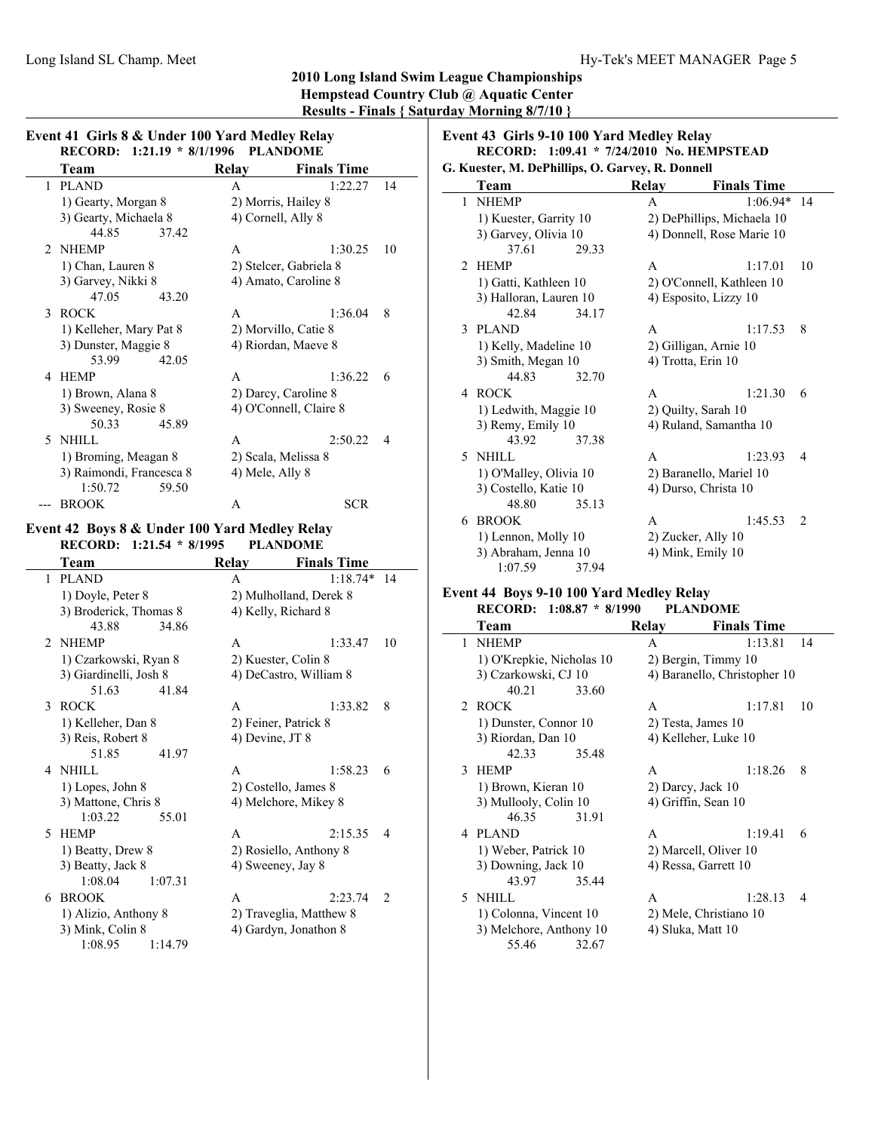|   | RECORD: 1:21.19 * 8/1/1996                                                |                 | <b>PLANDOME</b>        |               |
|---|---------------------------------------------------------------------------|-----------------|------------------------|---------------|
|   | Team                                                                      | <b>Relay</b>    | <b>Finals Time</b>     |               |
| 1 | <b>PLAND</b>                                                              | A               | 1:22.27                | 14            |
|   | 1) Gearty, Morgan 8                                                       |                 | 2) Morris, Hailey 8    |               |
|   | 3) Gearty, Michaela 8                                                     |                 | 4) Cornell, Ally 8     |               |
|   | 44.85<br>37.42                                                            |                 |                        |               |
| 2 | <b>NHEMP</b>                                                              | A               | 1:30.25                | 10            |
|   | 1) Chan, Lauren 8                                                         |                 | 2) Stelcer, Gabriela 8 |               |
|   | 3) Garvey, Nikki 8                                                        |                 | 4) Amato, Caroline 8   |               |
|   | 47.05<br>43.20                                                            |                 |                        |               |
| 3 | <b>ROCK</b>                                                               | A               | 1:36.04                | 8             |
|   | 1) Kelleher, Mary Pat 8                                                   |                 | 2) Morvillo, Catie 8   |               |
|   | 3) Dunster, Maggie 8                                                      |                 | 4) Riordan, Maeve 8    |               |
|   | 53.99<br>42.05                                                            |                 |                        |               |
| 4 | HEMP                                                                      | A               | 1:36.22                | 6             |
|   | 1) Brown, Alana 8                                                         |                 | 2) Darcy, Caroline 8   |               |
|   | 3) Sweeney, Rosie 8                                                       |                 | 4) O'Connell, Claire 8 |               |
|   | 50.33<br>45.89                                                            |                 |                        |               |
| 5 | NHILL                                                                     | A               | 2:50.22                | 4             |
|   | 1) Broming, Meagan 8                                                      |                 | 2) Scala, Melissa 8    |               |
|   | 3) Raimondi, Francesca 8                                                  | 4) Mele, Ally 8 |                        |               |
|   | 1:50.72<br>59.50                                                          |                 |                        |               |
|   |                                                                           |                 |                        |               |
|   | <b>BROOK</b>                                                              | A               | <b>SCR</b>             |               |
|   |                                                                           |                 |                        |               |
|   | Event 42 Boys 8 & Under 100 Yard Medley Relay<br>RECORD: 1:21.54 * 8/1995 |                 | <b>PLANDOME</b>        |               |
|   | Team                                                                      | Relay           | <b>Finals Time</b>     |               |
| 1 | <b>PLAND</b>                                                              | A               | $1:18.74*$             |               |
|   | 1) Doyle, Peter 8                                                         |                 | 2) Mulholland, Derek 8 |               |
|   | 3) Broderick, Thomas 8                                                    |                 | 4) Kelly, Richard 8    |               |
|   | 43.88<br>34.86                                                            |                 |                        |               |
| 2 | <b>NHEMP</b>                                                              | A               | 1:33.47                |               |
|   | 1) Czarkowski, Ryan 8                                                     |                 | 2) Kuester, Colin 8    |               |
|   |                                                                           |                 | 4) DeCastro, William 8 |               |
|   | 3) Giardinelli, Josh 8<br>51.63<br>41.84                                  |                 |                        |               |
| 3 | <b>ROCK</b>                                                               | A               | 1:33.82                | 8             |
|   | 1) Kelleher, Dan 8                                                        |                 | 2) Feiner, Patrick 8   |               |
|   | 3) Reis, Robert 8                                                         | 4) Devine, JT 8 |                        |               |
|   | 51.85<br>41.97                                                            |                 |                        |               |
| 4 | NHILL                                                                     | A               | 1:58.23                | 6             |
|   |                                                                           |                 |                        |               |
|   | 1) Lopes, John 8                                                          |                 | 2) Costello, James 8   |               |
|   | 3) Mattone, Chris 8<br>1:03.22<br>55.01                                   |                 | 4) Melchore, Mikey 8   |               |
| 5 | <b>HEMP</b>                                                               | A               | 2:15.35                | 14<br>10<br>4 |

3) Beatty, Jack 8 4) Sweeney, Jay 8

1:14.79

6 BROOK A 2:23.74 2 1) Alizio, Anthony 8 2) Traveglia, Matthew 8 3) Mink, Colin 8 4) Gardyn, Jonathon 8 1:08.95 1:14.79

1:08.04 1:07.31

#### **Team** Relay Finals Time 1 NHEMP A 1:06.94\* 14 1) Kuester, Garrity 10 2) DePhillips, Michaela 10 3) Garvey, Olivia 10 4) Donnell, Rose Marie 10 37.61 29.33 2 HEMP A 1:17.01 10 1) Gatti, Kathleen 10 2) O'Connell, Kathleen 10 3) Halloran, Lauren 10 4) Esposito, Lizzy 10 42.84 34.17 3 1:17.53 8 PLAND A 1) Kelly, Madeline 10 2) Gilligan, Arnie 10<br>3) Smith, Megan 10 4) Trotta, Erin 10 3) Smith, Megan 10 44.83 32.70

**RECORD:** 1:09.41 \* 7/24/2010 **No. HEMPSTEAD** 

**Event 43 Girls 9-10 100 Yard Medley Relay**

**G. Kuester, M. DePhillips, O. Garvey, R. Donnell**

#### 1) O'Malley, Olivia 10 2) Baranello, Mariel 10 3) Costello, Katie 10 4) Durso, Christa 10 48.80 35.13 6 BROOK A 1:45.53 2 1) Lennon, Molly 10 2) Zucker, Ally 10 3) Abraham, Jenna 10 4) Mink, Emily 10 1:07.59 37.94

4 ROCK A 1:21.30 6 1) Ledwith, Maggie 10 2) Quilty, Sarah 10 3) Remy, Emily 10 4) Ruland, Samantha 10

5 NHILL A 1:23.93 4

#### **Event 44 Boys 9-10 100 Yard Medley Relay RECORD: 1:08.87 \* 8/1990 PLANDOME**

43.92 37.38

|             | Team                      | Relav                | <b>Finals Time</b>           |
|-------------|---------------------------|----------------------|------------------------------|
| 1           | <b>NHEMP</b>              | A                    | 1:13.81<br>14                |
|             | 1) O'Krepkie, Nicholas 10 |                      | 2) Bergin, Timmy 10          |
|             | 3) Czarkowski, CJ 10      |                      | 4) Baranello, Christopher 10 |
|             | 40.21<br>33.60            |                      |                              |
| $2^{\circ}$ | <b>ROCK</b>               | A                    | 1:17.81<br>10                |
|             | 1) Dunster, Connor 10     | 2) Testa, James 10   |                              |
|             | 3) Riordan, Dan 10        |                      | 4) Kelleher, Luke 10         |
|             | 42.33<br>35.48            |                      |                              |
| 3           | <b>HEMP</b>               | A                    | 1:18.26<br>8                 |
|             | 1) Brown, Kieran 10       | 2) Darcy, Jack 10    |                              |
|             | 3) Mullooly, Colin 10     | 4) Griffin, Sean 10  |                              |
|             | 46.35<br>31.91            |                      |                              |
|             | 4 PLAND                   | A                    | 1:19.41<br>6                 |
|             | 1) Weber, Patrick 10      |                      | 2) Marcell, Oliver 10        |
|             | 3) Downing, Jack 10       | 4) Ressa, Garrett 10 |                              |
|             | 43.97<br>35.44            |                      |                              |
| 5.          | NHILL                     | A                    | 1:28.13<br>4                 |
|             | 1) Colonna, Vincent 10    |                      | 2) Mele, Christiano 10       |
|             | 3) Melchore, Anthony 10   | 4) Sluka, Matt 10    |                              |
|             | 55.46<br>32.67            |                      |                              |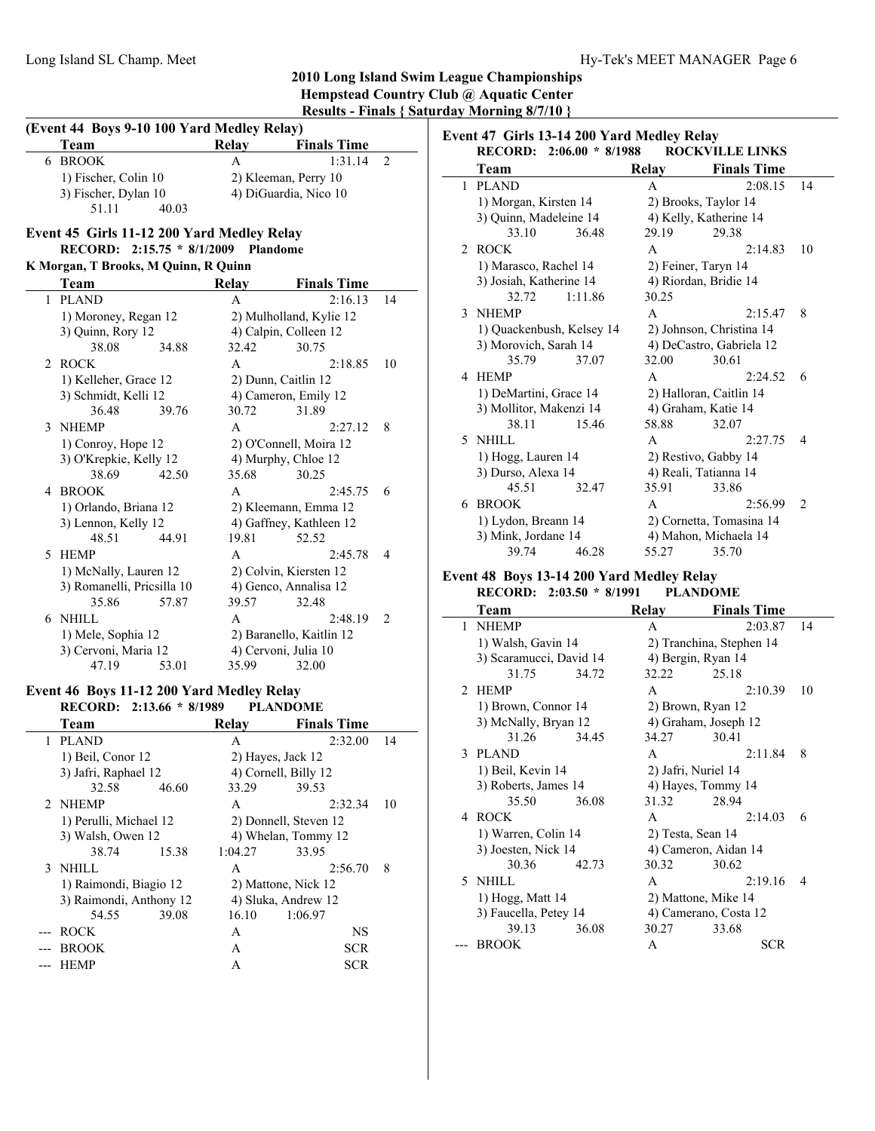j.

 $\overline{\phantom{0}}$ 

|   | (Event 44 Boys 9-10 100 Yard Medley Relay) |                       |                          |    |
|---|--------------------------------------------|-----------------------|--------------------------|----|
|   | Team                                       | Relay                 | <b>Finals Time</b>       |    |
|   | 6 BROOK                                    | A                     | 1:31.14                  | 2  |
|   | 1) Fischer, Colin 10                       |                       | 2) Kleeman, Perry 10     |    |
|   | 3) Fischer, Dylan 10                       |                       | 4) DiGuardia, Nico 10    |    |
|   | 51.11<br>40.03                             |                       |                          |    |
|   | Event 45 Girls 11-12 200 Yard Medley Relay |                       |                          |    |
|   | RECORD: 2:15.75 * 8/1/2009                 | Plandome              |                          |    |
|   | K Morgan, T Brooks, M Quinn, R Quinn       |                       |                          |    |
|   | Team                                       | Relay                 | <b>Finals Time</b>       |    |
| 1 | <b>PLAND</b>                               | A                     | 2:16.13                  | 14 |
|   | 1) Moroney, Regan 12                       |                       | 2) Mulholland, Kylie 12  |    |
|   | 3) Quinn, Rory 12                          |                       | 4) Calpin, Colleen 12    |    |
|   | 38.08<br>34.88                             | 32.42                 | 30.75                    |    |
| 2 | <b>ROCK</b>                                | A                     | 2:18.85                  | 10 |
|   | 1) Kelleher, Grace 12                      |                       | 2) Dunn, Caitlin 12      |    |
|   | 3) Schmidt, Kelli 12                       |                       | 4) Cameron, Emily 12     |    |
|   | 36.48<br>39.76                             | 30.72                 | 31.89                    |    |
| 3 | <b>NHEMP</b>                               | A                     | 2:27.12                  | 8  |
|   | 1) Conroy, Hope 12                         |                       | 2) O'Connell, Moira 12   |    |
|   | 3) O'Krepkie, Kelly 12                     |                       | 4) Murphy, Chloe 12      |    |
|   | 38.69<br>42.50                             | 35.68                 | 30.25                    |    |
| 4 | <b>BROOK</b>                               | A                     | 2:45.75                  | 6  |
|   | 1) Orlando, Briana 12                      |                       | 2) Kleemann, Emma 12     |    |
|   | 3) Lennon, Kelly 12                        |                       | 4) Gaffney, Kathleen 12  |    |
|   | 44.91<br>48.51                             | 19.81                 | 52.52                    |    |
| 5 | <b>HEMP</b>                                | A                     | 2:45.78                  | 4  |
|   | 1) McNally, Lauren 12                      |                       | 2) Colvin, Kiersten 12   |    |
|   | 3) Romanelli, Pricsilla 10                 |                       | 4) Genco, Annalisa 12    |    |
|   | 35.86<br>57.87                             | 39.57                 | 32.48                    |    |
| 6 | NHILL                                      | A                     | 2:48.19                  | 2  |
|   | 1) Mele, Sophia 12                         |                       | 2) Baranello, Kaitlin 12 |    |
|   | 3) Cervoni, Maria 12                       |                       | 4) Cervoni, Julia 10     |    |
|   | 47.19<br>53.01                             | 35.99                 | 32.00                    |    |
|   | Event 46 Boys 11-12 200 Yard Medley Relay  |                       |                          |    |
|   | <b>RECORD:</b><br>$2:13.66 * 8/1989$       |                       | <b>PLANDOME</b>          |    |
|   | Team                                       | <b>Relay</b>          | <b>Finals Time</b>       |    |
| 1 | <b>PLAND</b>                               | Α                     | 2:32.00                  | 14 |
|   | 1) Beil, Conor 12                          | 2) Hayes, Jack 12     |                          |    |
|   | 3) Jafri, Raphael 12                       |                       | 4) Cornell, Billy 12     |    |
|   | 32.58<br>46.60                             | 33.29                 | 39.53                    |    |
| 2 | NHEMP                                      | A                     | 2:32.34                  | 10 |
|   | 1) Perulli, Michael 12                     | 2) Donnell, Steven 12 |                          |    |
|   | 3) Walsh, Owen 12                          |                       | 4) Whelan, Tommy 12      |    |
|   | 38.74<br>15.38                             | 1:04.27               | 33.95                    |    |
| 3 | <b>NHILL</b>                               | A                     | 2:56.70                  | 8  |
|   | 1) Raimondi, Biagio 12                     |                       | 2) Mattone, Nick 12      |    |
|   | 3) Raimondi, Anthony 12                    |                       | 4) Sluka, Andrew 12      |    |

54.55 39.08 16.10 1:06.97 --- ROCK A NS --- BROOK A SCR --- HEMP A SCR

|    | Event 47 Girls 13-14 200 Yard Medley Relay |         |              |                          |                    |
|----|--------------------------------------------|---------|--------------|--------------------------|--------------------|
|    | RECORD: 2:06.00 * 8/1988                   |         |              | <b>ROCKVILLE LINKS</b>   |                    |
|    | Team                                       |         | <b>Relay</b> | <b>Finals Time</b>       |                    |
| 1  | <b>PLAND</b>                               |         | A            | 2:08.15                  | 14                 |
|    | 1) Morgan, Kirsten 14                      |         |              | 2) Brooks, Taylor 14     |                    |
|    | 3) Quinn, Madeleine 14                     |         |              | 4) Kelly, Katherine 14   |                    |
|    | 33.10                                      | 36.48   | 29.19        | 29.38                    |                    |
| 2  | <b>ROCK</b>                                |         | $\mathsf{A}$ | 2:14.83                  | 10                 |
|    | 1) Marasco, Rachel 14                      |         |              | 2) Feiner, Taryn 14      |                    |
|    | 3) Josiah, Katherine 14                    |         |              | 4) Riordan, Bridie 14    |                    |
|    | 32.72                                      | 1:11.86 | 30.25        |                          |                    |
| 3  | <b>NHEMP</b>                               |         | $\mathsf{A}$ | 2:15.47                  | 8                  |
|    | 1) Quackenbush, Kelsey 14                  |         |              | 2) Johnson, Christina 14 |                    |
|    | 3) Morovich, Sarah 14                      |         |              | 4) DeCastro, Gabriela 12 |                    |
|    | 35.79                                      | 37.07   | 32.00        | 30.61                    |                    |
| 4  | <b>HEMP</b>                                |         | $\mathsf{A}$ | 2.2452                   | 6                  |
|    | 1) DeMartini, Grace 14                     |         |              | 2) Halloran, Caitlin 14  |                    |
|    | 3) Mollitor, Makenzi 14                    |         |              | 4) Graham, Katie 14      |                    |
|    | 38.11                                      | 15.46   | 58.88        | 32.07                    |                    |
| 5. | <b>NHILL</b>                               |         | A            | 2:27.75                  | 4                  |
|    | 1) Hogg, Lauren 14                         |         |              | 2) Restivo, Gabby 14     |                    |
|    | 3) Durso, Alexa 14                         |         |              | 4) Reali, Tatianna 14    |                    |
|    | 45.51                                      | 32.47   | 35.91        | 33.86                    |                    |
| 6  | <b>BROOK</b>                               |         | $\mathsf{A}$ | 2:56.99                  | $\mathfrak{D}_{1}$ |
|    | 1) Lydon, Breann 14                        |         |              | 2) Cornetta, Tomasina 14 |                    |
|    | 3) Mink, Jordane 14                        |         |              | 4) Mahon, Michaela 14    |                    |
|    | 39.74                                      | 46.28   | 55.27        | 35.70                    |                    |

#### **Event 48 Boys 13-14 200 Yard Medley Relay RECORD:** 2:03.50 \* 8/1991

|                | NEUVND.                 | 4.00.00 0/1991 | T L'ARDONIE         |                          |    |
|----------------|-------------------------|----------------|---------------------|--------------------------|----|
|                | Team                    |                | Relay               | <b>Finals Time</b>       |    |
| 1              | <b>NHEMP</b>            |                | $\mathsf{A}$        | 2:03.87                  | 14 |
|                | 1) Walsh, Gavin 14      |                |                     | 2) Tranchina, Stephen 14 |    |
|                | 3) Scaramucci, David 14 |                | 4) Bergin, Ryan 14  |                          |    |
|                | 31.75                   | 34.72          | 32.22               | 25.18                    |    |
| $\mathfrak{D}$ | <b>HEMP</b>             |                | A                   | 2:10.39                  | 10 |
|                | 1) Brown, Connor 14     |                | 2) Brown, Ryan 12   |                          |    |
|                | 3) McNally, Bryan 12    |                |                     | 4) Graham, Joseph 12     |    |
|                | 31.26                   | 34.45          | 34.27               | 30.41                    |    |
| 3              | <b>PLAND</b>            |                | A                   | 2:11.84                  | 8  |
|                | 1) Beil, Kevin 14       |                | 2) Jafri, Nuriel 14 |                          |    |
|                | 3) Roberts, James 14    |                | 4) Hayes, Tommy 14  |                          |    |
|                | 35.50                   | 36.08          | 31.32               | 28.94                    |    |
| 4              | <b>ROCK</b>             |                | A                   | 2:14.03                  | 6  |
|                | 1) Warren, Colin 14     |                | 2) Testa, Sean 14   |                          |    |
|                | 3) Joesten, Nick 14     |                |                     | 4) Cameron, Aidan 14     |    |
|                | 30.36                   | 42.73          | 30.32               | 30.62                    |    |
|                | 5 NHILL                 |                | A                   | 2:19.16                  | 4  |
|                | 1) Hogg, Matt 14        |                | 2) Mattone, Mike 14 |                          |    |
|                | 3) Faucella, Petey 14   |                |                     | 4) Camerano, Costa 12    |    |
|                | 39.13                   | 36.08          | 30.27               | 33.68                    |    |
|                | <b>BROOK</b>            |                | A                   | <b>SCR</b>               |    |
|                |                         |                |                     |                          |    |